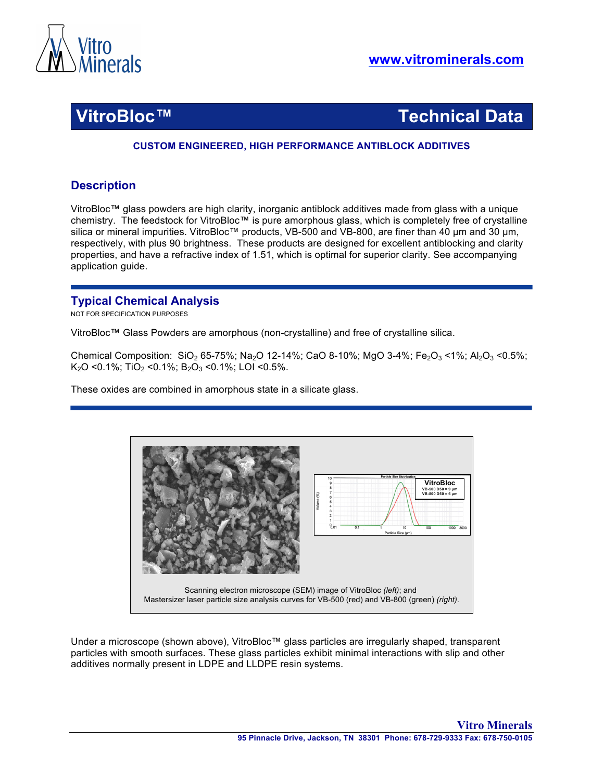

**VitroBloc™ Technical Data**

### **CUSTOM ENGINEERED, HIGH PERFORMANCE ANTIBLOCK ADDITIVES**

# **Description**

VitroBloc™ glass powders are high clarity, inorganic antiblock additives made from glass with a unique chemistry. The feedstock for VitroBloc™ is pure amorphous glass, which is completely free of crystalline silica or mineral impurities. VitroBloc™ products, VB-500 and VB-800, are finer than 40 µm and 30 µm, respectively, with plus 90 brightness. These products are designed for excellent antiblocking and clarity properties, and have a refractive index of 1.51, which is optimal for superior clarity. See accompanying application guide.

# **Typical Chemical Analysis**

NOT FOR SPECIFICATION PURPOSES

VitroBloc™ Glass Powders are amorphous (non-crystalline) and free of crystalline silica.

Chemical Composition: SiO<sub>2</sub> 65-75%; Na<sub>2</sub>O 12-14%; CaO 8-10%; MgO 3-4%; Fe<sub>2</sub>O<sub>3</sub> <1%; Al<sub>2</sub>O<sub>3</sub> <0.5%; K<sub>2</sub>O < 0.1%; TiO<sub>2</sub> < 0.1%; B<sub>2</sub>O<sub>3</sub> < 0.1%; LOI < 0.5%.

These oxides are combined in amorphous state in a silicate glass.



Under a microscope (shown above), VitroBloc™ glass particles are irregularly shaped, transparent particles with smooth surfaces. These glass particles exhibit minimal interactions with slip and other additives normally present in LDPE and LLDPE resin systems.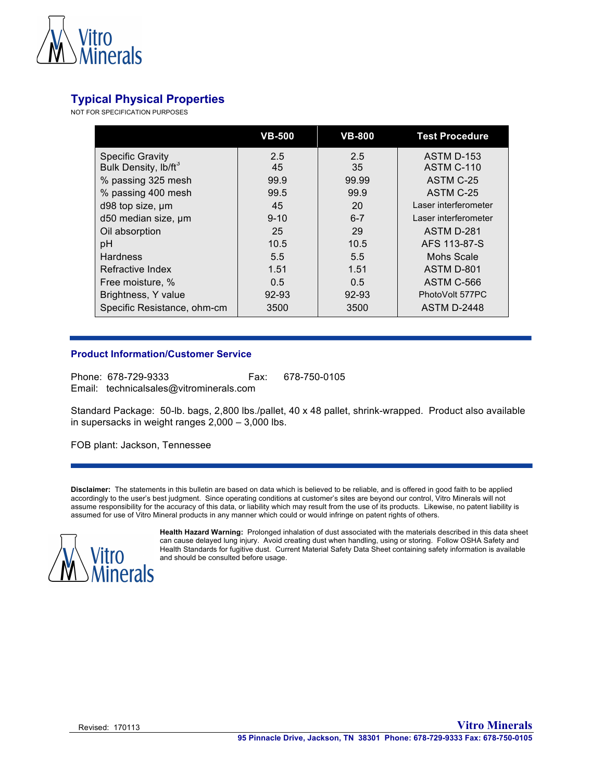

# **Typical Physical Properties**

NOT FOR SPECIFICATION PURPOSES

|                                  | <b>VB-500</b> | <b>VB-800</b> | <b>Test Procedure</b> |
|----------------------------------|---------------|---------------|-----------------------|
| <b>Specific Gravity</b>          | 2.5           | 2.5           | ASTM D-153            |
| Bulk Density, lb/ft <sup>3</sup> | 45            | 35            | ASTM C-110            |
| % passing 325 mesh               | 99.9          | 99.99         | ASTM C-25             |
| % passing 400 mesh               | 99.5          | 99.9          | ASTM C-25             |
| d98 top size, um                 | 45            | 20            | Laser interferometer  |
| d50 median size, um              | $9 - 10$      | $6 - 7$       | Laser interferometer  |
| Oil absorption                   | 25            | 29            | ASTM D-281            |
| pH                               | 10.5          | 10.5          | AFS 113-87-S          |
| <b>Hardness</b>                  | 5.5           | 5.5           | Mohs Scale            |
| Refractive Index                 | 1.51          | 1.51          | ASTM D-801            |
| Free moisture, %                 | 0.5           | 0.5           | ASTM C-566            |
| Brightness, Y value              | $92 - 93$     | $92 - 93$     | PhotoVolt 577PC       |
| Specific Resistance, ohm-cm      | 3500          | 3500          | <b>ASTM D-2448</b>    |

### **Product Information/Customer Service**

Phone: 678-729-9333 Fax: 678-750-0105 Email: technicalsales@vitrominerals.com

Standard Package: 50-lb. bags, 2,800 lbs./pallet, 40 x 48 pallet, shrink-wrapped. Product also available in supersacks in weight ranges 2,000 – 3,000 lbs.

FOB plant: Jackson, Tennessee

**Disclaimer:** The statements in this bulletin are based on data which is believed to be reliable, and is offered in good faith to be applied accordingly to the user's best judgment. Since operating conditions at customer's sites are beyond our control, Vitro Minerals will not assume responsibility for the accuracy of this data, or liability which may result from the use of its products. Likewise, no patent liability is assumed for use of Vitro Mineral products in any manner which could or would infringe on patent rights of others.



**Health Hazard Warning:** Prolonged inhalation of dust associated with the materials described in this data sheet can cause delayed lung injury. Avoid creating dust when handling, using or storing. Follow OSHA Safety and Health Standards for fugitive dust. Current Material Safety Data Sheet containing safety information is available and should be consulted before usage.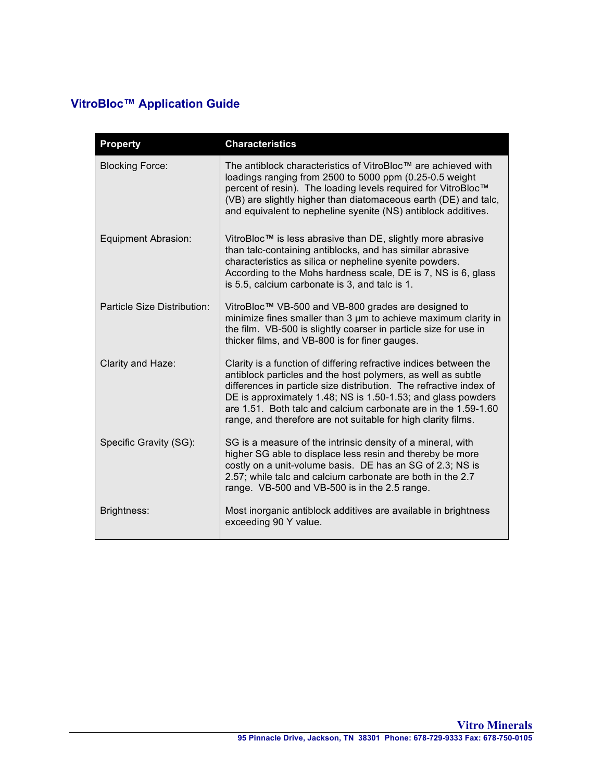# **VitroBloc™ Application Guide**

| <b>Property</b>             | <b>Characteristics</b>                                                                                                                                                                                                                                                                                                                                                                                     |
|-----------------------------|------------------------------------------------------------------------------------------------------------------------------------------------------------------------------------------------------------------------------------------------------------------------------------------------------------------------------------------------------------------------------------------------------------|
| <b>Blocking Force:</b>      | The antiblock characteristics of VitroBloc™ are achieved with<br>loadings ranging from 2500 to 5000 ppm (0.25-0.5 weight<br>percent of resin). The loading levels required for VitroBloc™<br>(VB) are slightly higher than diatomaceous earth (DE) and talc,<br>and equivalent to nepheline syenite (NS) antiblock additives.                                                                              |
| <b>Equipment Abrasion:</b>  | VitroBloc™ is less abrasive than DE, slightly more abrasive<br>than talc-containing antiblocks, and has similar abrasive<br>characteristics as silica or nepheline syenite powders.<br>According to the Mohs hardness scale, DE is 7, NS is 6, glass<br>is 5.5, calcium carbonate is 3, and talc is 1.                                                                                                     |
| Particle Size Distribution: | VitroBloc™ VB-500 and VB-800 grades are designed to<br>minimize fines smaller than 3 um to achieve maximum clarity in<br>the film. VB-500 is slightly coarser in particle size for use in<br>thicker films, and VB-800 is for finer gauges.                                                                                                                                                                |
| Clarity and Haze:           | Clarity is a function of differing refractive indices between the<br>antiblock particles and the host polymers, as well as subtle<br>differences in particle size distribution. The refractive index of<br>DE is approximately 1.48; NS is 1.50-1.53; and glass powders<br>are 1.51. Both talc and calcium carbonate are in the 1.59-1.60<br>range, and therefore are not suitable for high clarity films. |
| Specific Gravity (SG):      | SG is a measure of the intrinsic density of a mineral, with<br>higher SG able to displace less resin and thereby be more<br>costly on a unit-volume basis. DE has an SG of 2.3; NS is<br>2.57; while talc and calcium carbonate are both in the 2.7<br>range. VB-500 and VB-500 is in the 2.5 range.                                                                                                       |
| Brightness:                 | Most inorganic antiblock additives are available in brightness<br>exceeding 90 Y value.                                                                                                                                                                                                                                                                                                                    |